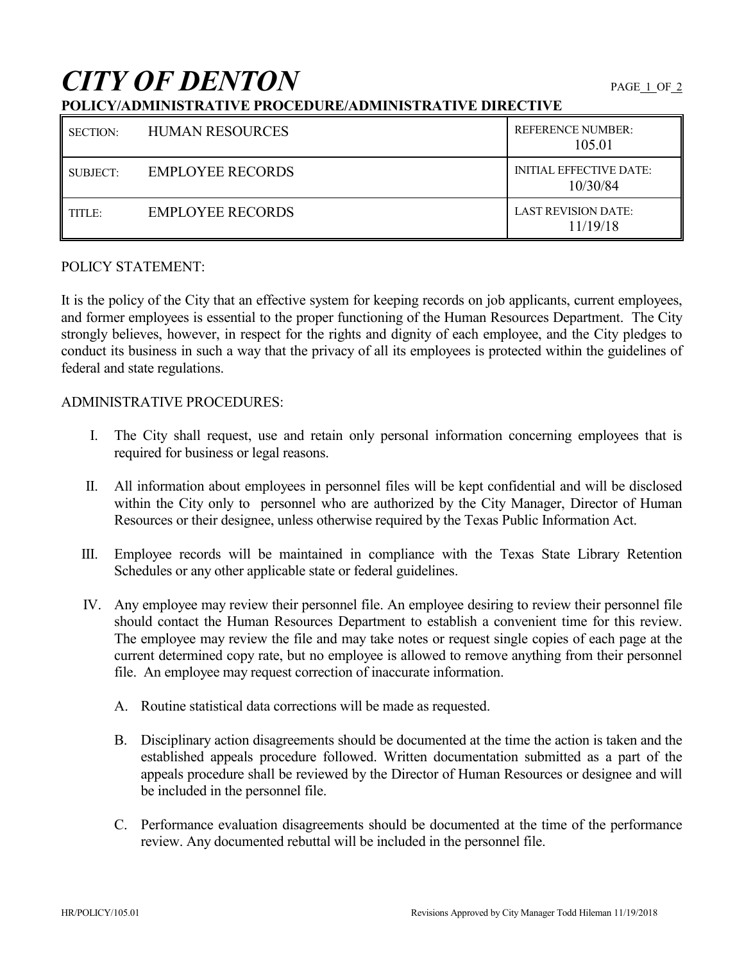# **CITY OF DENTON**

## **POLICY/ADMINISTRATIVE PROCEDURE/ADMINISTRATIVE DIRECTIVE**

| SECTION: | <b>HUMAN RESOURCES</b>  | <b>REFERENCE NUMBER:</b><br>105.01         |
|----------|-------------------------|--------------------------------------------|
| SUBJECT: | <b>EMPLOYEE RECORDS</b> | <b>INITIAL EFFECTIVE DATE:</b><br>10/30/84 |
| TITLE:   | EMPLOYEE RECORDS        | <b>LAST REVISION DATE:</b><br>11/19/18     |

### POLICY STATEMENT:

It is the policy of the City that an effective system for keeping records on job applicants, current employees, and former employees is essential to the proper functioning of the Human Resources Department. The City strongly believes, however, in respect for the rights and dignity of each employee, and the City pledges to conduct its business in such a way that the privacy of all its employees is protected within the guidelines of federal and state regulations.

#### ADMINISTRATIVE PROCEDURES:

- I. The City shall request, use and retain only personal information concerning employees that is required for business or legal reasons.
- II. All information about employees in personnel files will be kept confidential and will be disclosed within the City only to personnel who are authorized by the City Manager, Director of Human Resources or their designee, unless otherwise required by the Texas Public Information Act.
- III. Employee records will be maintained in compliance with the Texas State Library Retention Schedules or any other applicable state or federal guidelines.
- IV. Any employee may review their personnel file. An employee desiring to review their personnel file should contact the Human Resources Department to establish a convenient time for this review. The employee may review the file and may take notes or request single copies of each page at the current determined copy rate, but no employee is allowed to remove anything from their personnel file. An employee may request correction of inaccurate information.
	- A. Routine statistical data corrections will be made as requested.
	- B. Disciplinary action disagreements should be documented at the time the action is taken and the established appeals procedure followed. Written documentation submitted as a part of the appeals procedure shall be reviewed by the Director of Human Resources or designee and will be included in the personnel file.
	- C. Performance evaluation disagreements should be documented at the time of the performance review. Any documented rebuttal will be included in the personnel file.